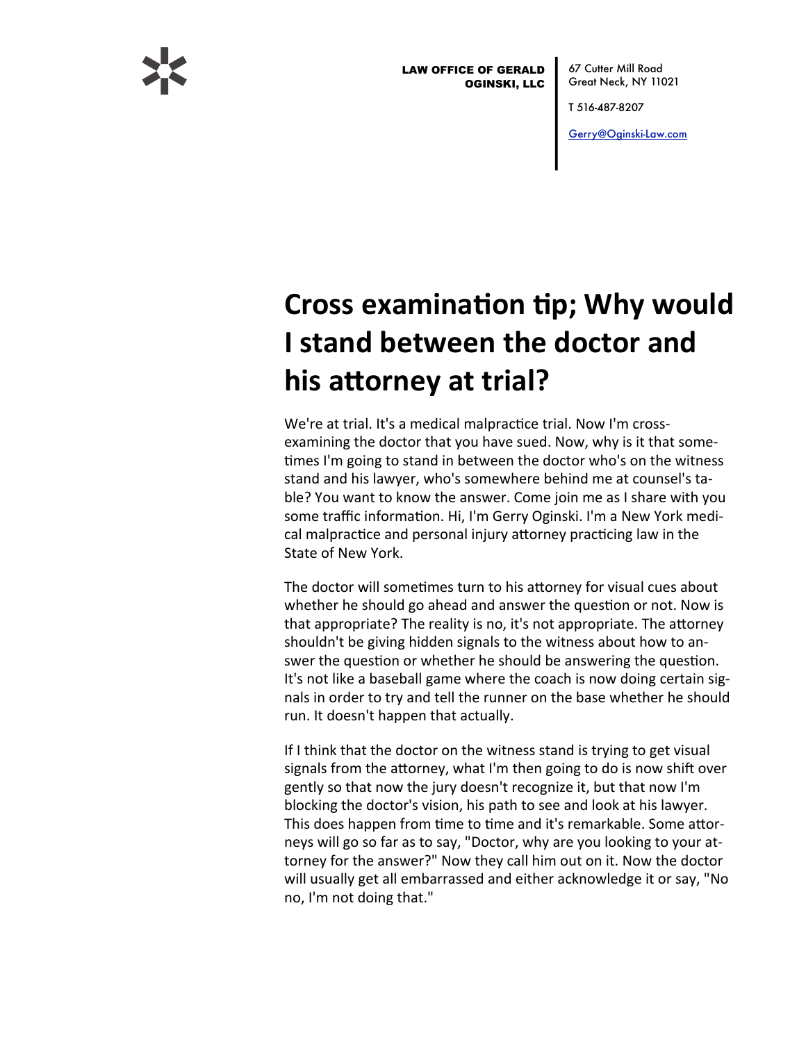

**LAW OFFICE OF GERALD OGINSKI, LLC**  67 Cutter Mill Road Great Neck, NY 11021

T 516-487-8207

Gerry@Oginski-Law.com

## **Cross examination tip; Why would** I stand between the doctor and his attorney at trial?

We're at trial. It's a medical malpractice trial. Now I'm crossexamining the doctor that you have sued. Now, why is it that sometimes I'm going to stand in between the doctor who's on the witness stand and his lawyer, who's somewhere behind me at counsel's table? You want to know the answer. Come join me as I share with you some traffic information. Hi, I'm Gerry Oginski. I'm a New York medical malpractice and personal injury attorney practicing law in the State of New York.

The doctor will sometimes turn to his attorney for visual cues about whether he should go ahead and answer the question or not. Now is that appropriate? The reality is no, it's not appropriate. The attorney shouldn't be giving hidden signals to the witness about how to answer the question or whether he should be answering the question. It's not like a baseball game where the coach is now doing certain signals in order to try and tell the runner on the base whether he should run. It doesn't happen that actually.

If I think that the doctor on the witness stand is trying to get visual signals from the attorney, what I'm then going to do is now shift over gently so that now the jury doesn't recognize it, but that now I'm blocking the doctor's vision, his path to see and look at his lawyer. This does happen from time to time and it's remarkable. Some attorneys will go so far as to say, "Doctor, why are you looking to your attorney for the answer?" Now they call him out on it. Now the doctor will usually get all embarrassed and either acknowledge it or say, "No no, I'm not doing that."